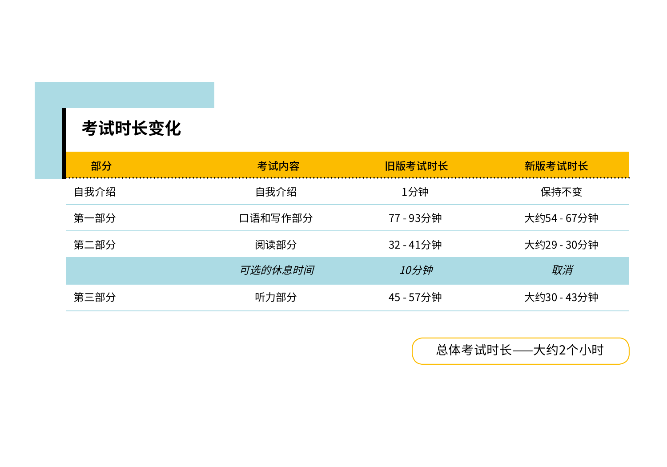| 考试时长变化 |         |           |             |
|--------|---------|-----------|-------------|
| 部分     | 考试内容    | 旧版考试时长    | 新版考试时长      |
| 自我介绍   | 自我介绍    | 1分钟       | 保持不变        |
| 第一部分   | 口语和写作部分 | 77 - 93分钟 | 大约54 - 67分钟 |
| 第二部分   | 阅读部分    | 32 - 41分钟 | 大约29 - 30分钟 |
|        | 可选的休息时间 | 10分钟      | 取消          |
| 第三部分   | 听力部分    | 45 - 57分钟 | 大约30 - 43分钟 |

 $\blacksquare$ 

总体考试时长⸺大约2个小时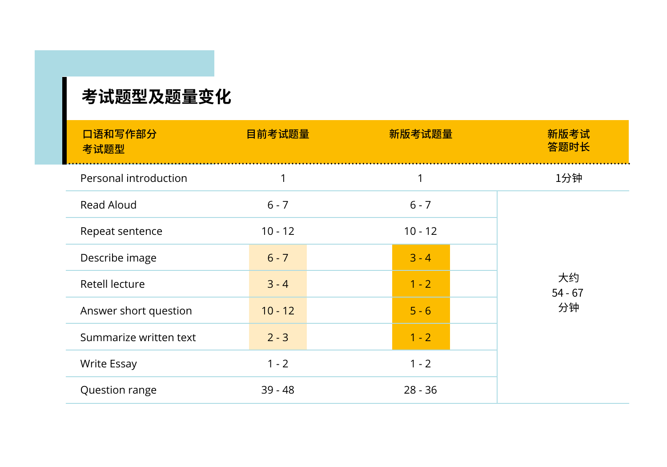## **考试题型及题量变化**

| 口语和写作部分<br>考试题型        | 目前考试题量    | 新版考试题量    | 新版考试<br>答题时长    |
|------------------------|-----------|-----------|-----------------|
| Personal introduction  | 1         | 1         | 1分钟             |
| Read Aloud             | $6 - 7$   | $6 - 7$   |                 |
| Repeat sentence        | $10 - 12$ | $10 - 12$ |                 |
| Describe image         | $6 - 7$   | $3 - 4$   |                 |
| Retell lecture         | $3 - 4$   | $1 - 2$   | 大约<br>$54 - 67$ |
| Answer short question  | $10 - 12$ | $5 - 6$   | 分钟              |
| Summarize written text | $2 - 3$   | $1 - 2$   |                 |
| <b>Write Essay</b>     | $1 - 2$   | $1 - 2$   |                 |
| Question range         | $39 - 48$ | $28 - 36$ |                 |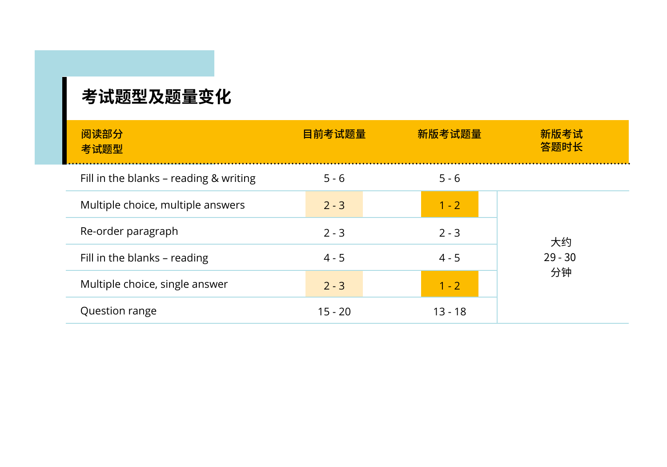## **考试题型及题量变化**

| 阅读部分<br>考试题型                           | 目前考试题量    | 新版考试题量    | 新版考试<br>答题时长 |  |
|----------------------------------------|-----------|-----------|--------------|--|
| Fill in the blanks – reading & writing | $5 - 6$   | $5 - 6$   |              |  |
| Multiple choice, multiple answers      | $2 - 3$   | $1 - 2$   |              |  |
| Re-order paragraph                     | $2 - 3$   | $2 - 3$   | 大约           |  |
| Fill in the blanks - reading           | $4 - 5$   | $4 - 5$   | $29 - 30$    |  |
| Multiple choice, single answer         | $2 - 3$   | $1 - 2$   | 分钟           |  |
| Question range                         | $15 - 20$ | $13 - 18$ |              |  |